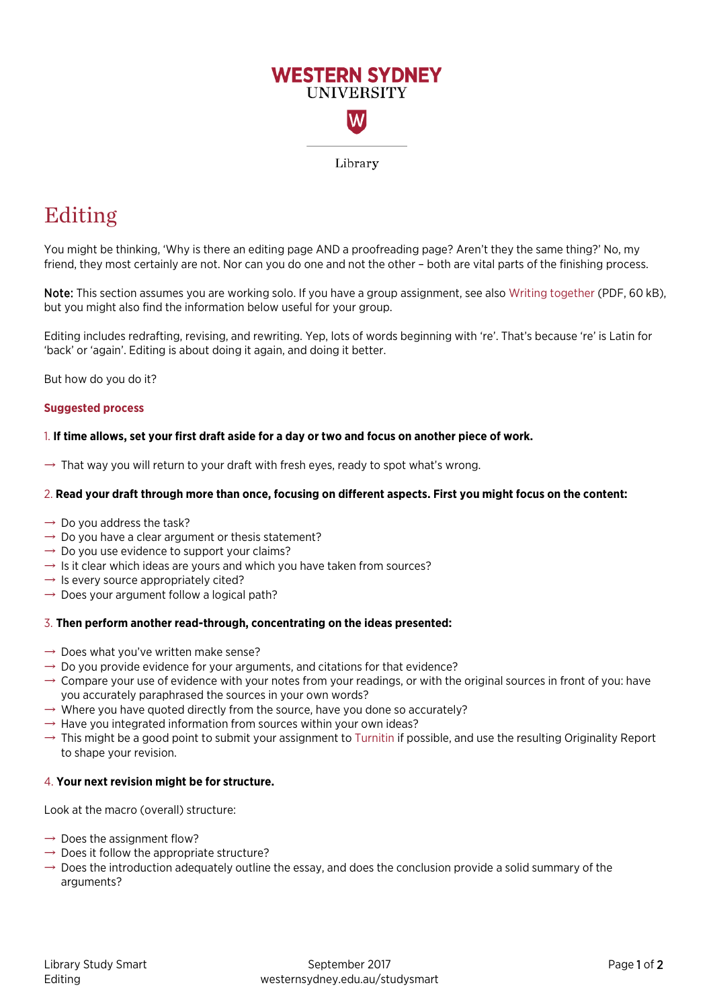

# Editing

 friend, they most certainly are not. Nor can you do one and not the other – both are vital parts of the finishing process. You might be thinking, 'Why is there an editing page AND a proofreading page? Aren't they the same thing?' No, my

 but you might also find the information below useful for your group. Note: This section assumes you are working solo. If you have a group assignment, see also [Writing together](https://westernsydney.edu.au/__data/assets/pdf_file/0010/1082818/Writing_together.pdf) (PDF, 60 kB),

Editing includes redrafting, revising, and rewriting. Yep, lots of words beginning with 're'. That's because 're' is Latin for 'back' or 'again'. Editing is about doing it again, and doing it better.

But how do you do it?

# **Suggested process**

# 1. **If time allows, set your first draft aside for a day or two and focus on another piece of work.**

 $\rightarrow$  That way you will return to your draft with fresh eyes, ready to spot what's wrong.

# 2. **Read your draft through more than once, focusing on different aspects. First you might focus on the content:**

- $\rightarrow$  Do you address the task?
- $\rightarrow$  Do you have a clear argument or thesis statement?
- $\rightarrow$  Do you use evidence to support your claims?
- $\rightarrow$  Is it clear which ideas are yours and which you have taken from sources?
- $\rightarrow$  Is every source appropriately cited?
- $\rightarrow$  Does your argument follow a logical path?

# 3. **Then perform another read-through, concentrating on the ideas presented:**

- $\rightarrow$  Does what you've written make sense?
- $\rightarrow$  Do you provide evidence for your arguments, and citations for that evidence?
- $\rightarrow$  Compare your use of evidence with your notes from your readings, or with the original sources in front of you: have you accurately paraphrased the sources in your own words?
- $\rightarrow$  Where you have quoted directly from the source, have you done so accurately?
- $\rightarrow$  Have you integrated information from sources within your own ideas?
- $\rightarrow$  This might be a good point to submit your assignment to [Turnitin i](http://library.westernsydney.edu.au/main/guides/turnitin)f possible, and use the resulting Originality Report to shape your revision.

# 4. **Your next revision might be for structure.**

Look at the macro (overall) structure:

- $\rightarrow$  Does the assignment flow?
- $\rightarrow$  Does it follow the appropriate structure?
- $\rightarrow$  Does the introduction adequately outline the essay, and does the conclusion provide a solid summary of the arguments?